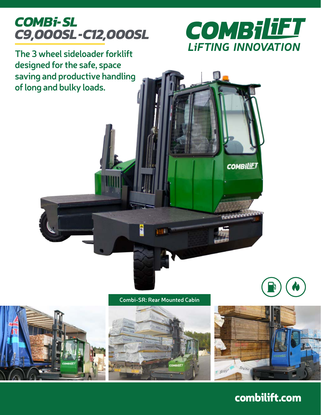## *COMBi-SL C9,000SL-C12,000SL*



**COMBILIET** 

**The 3 wheel sideloader forklift designed for the safe, space saving and productive handling of long and bulky loads.**





## combilift.com